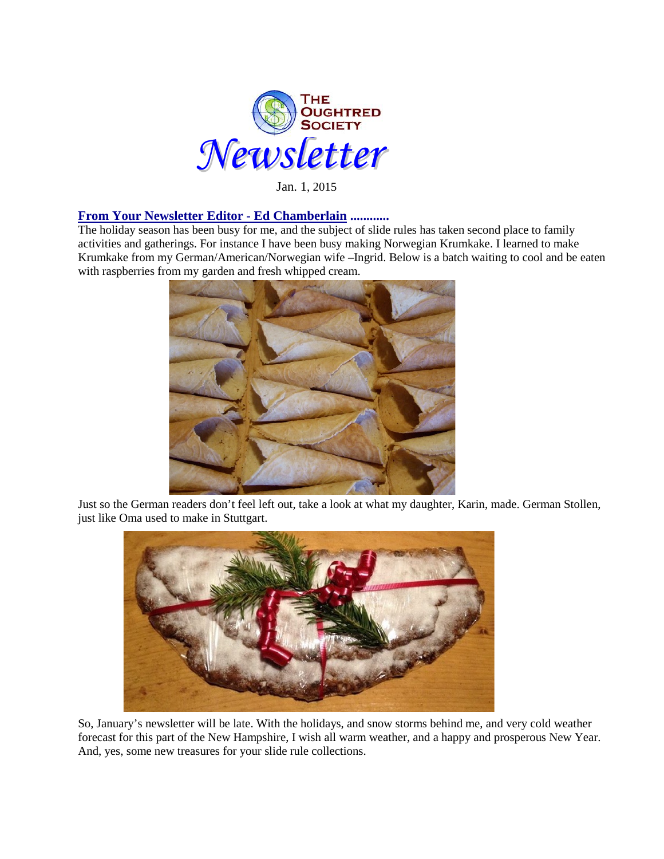

Jan. 1, 2015

### **From Your Newsletter Editor - Ed Chamberlain ............**

The holiday season has been busy for me, and the subject of slide rules has taken second place to family activities and gatherings. For instance I have been busy making Norwegian Krumkake. I learned to make Krumkake from my German/American/Norwegian wife –Ingrid. Below is a batch waiting to cool and be eaten with raspberries from my garden and fresh whipped cream.



Just so the German readers don't feel left out, take a look at what my daughter, Karin, made. German Stollen, just like Oma used to make in Stuttgart.



So, January's newsletter will be late. With the holidays, and snow storms behind me, and very cold weather forecast for this part of the New Hampshire, I wish all warm weather, and a happy and prosperous New Year. And, yes, some new treasures for your slide rule collections.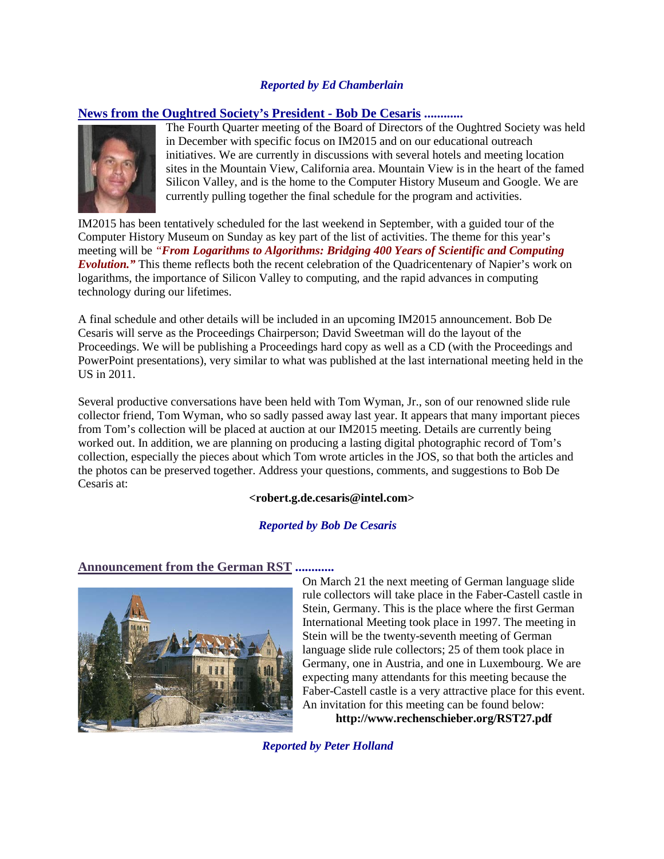### *Reported by Ed Chamberlain*

## **News from the Oughtred Society's President - Bob De Cesaris ............**



The Fourth Quarter meeting of the Board of Directors of the Oughtred Society was held in December with specific focus on IM2015 and on our educational outreach initiatives. We are currently in discussions with several hotels and meeting location sites in the Mountain View, California area. Mountain View is in the heart of the famed Silicon Valley, and is the home to the Computer History Museum and Google. We are currently pulling together the final schedule for the program and activities.

IM2015 has been tentatively scheduled for the last weekend in September, with a guided tour of the Computer History Museum on Sunday as key part of the list of activities. The theme for this year's meeting will be *"From Logarithms to Algorithms: Bridging 400 Years of Scientific and Computing Evolution."* This theme reflects both the recent celebration of the Quadricentenary of Napier's work on logarithms, the importance of Silicon Valley to computing, and the rapid advances in computing technology during our lifetimes.

A final schedule and other details will be included in an upcoming IM2015 announcement. Bob De Cesaris will serve as the Proceedings Chairperson; David Sweetman will do the layout of the Proceedings. We will be publishing a Proceedings hard copy as well as a CD (with the Proceedings and PowerPoint presentations), very similar to what was published at the last international meeting held in the US in 2011.

Several productive conversations have been held with Tom Wyman, Jr., son of our renowned slide rule collector friend, Tom Wyman, who so sadly passed away last year. It appears that many important pieces from Tom's collection will be placed at auction at our IM2015 meeting. Details are currently being worked out. In addition, we are planning on producing a lasting digital photographic record of Tom's collection, especially the pieces about which Tom wrote articles in the JOS, so that both the articles and the photos can be preserved together. Address your questions, comments, and suggestions to Bob De Cesaris at:

#### **<robert.g.de.cesaris@intel.com>**

#### *Reported by Bob De Cesaris*





On March 21 the next meeting of German language slide rule collectors will take place in the Faber-Castell castle in Stein, Germany. This is the place where the first German International Meeting took place in 1997. The meeting in Stein will be the twenty-seventh meeting of German language slide rule collectors; 25 of them took place in Germany, one in Austria, and one in Luxembourg. We are expecting many attendants for this meeting because the Faber-Castell castle is a very attractive place for this event. An invitation for this meeting can be found below: **http://www.rechenschieber.org/RST27.pdf**

*Reported by Peter Holland*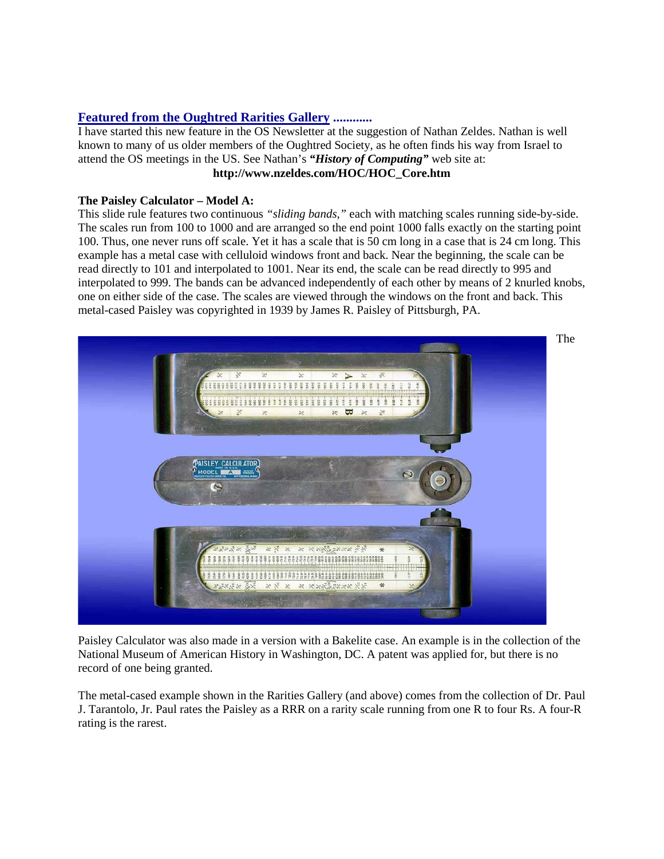# **Featured from the Oughtred Rarities Gallery ............**

I have started this new feature in the OS Newsletter at the suggestion of Nathan Zeldes. Nathan is well known to many of us older members of the Oughtred Society, as he often finds his way from Israel to attend the OS meetings in the US. See Nathan's *"History of Computing"* web site at: **http://www.nzeldes.com/HOC/HOC\_Core.htm**

# **The Paisley Calculator – Model A:**

This slide rule features two continuous *"sliding bands,"* each with matching scales running side-by-side. The scales run from 100 to 1000 and are arranged so the end point 1000 falls exactly on the starting point 100. Thus, one never runs off scale. Yet it has a scale that is 50 cm long in a case that is 24 cm long. This example has a metal case with celluloid windows front and back. Near the beginning, the scale can be read directly to 101 and interpolated to 1001. Near its end, the scale can be read directly to 995 and interpolated to 999. The bands can be advanced independently of each other by means of 2 knurled knobs, one on either side of the case. The scales are viewed through the windows on the front and back. This metal-cased Paisley was copyrighted in 1939 by James R. Paisley of Pittsburgh, PA.



Paisley Calculator was also made in a version with a Bakelite case. An example is in the collection of the National Museum of American History in Washington, DC. A patent was applied for, but there is no record of one being granted.

The metal-cased example shown in the Rarities Gallery (and above) comes from the collection of Dr. Paul J. Tarantolo, Jr. Paul rates the Paisley as a RRR on a rarity scale running from one R to four Rs. A four-R rating is the rarest.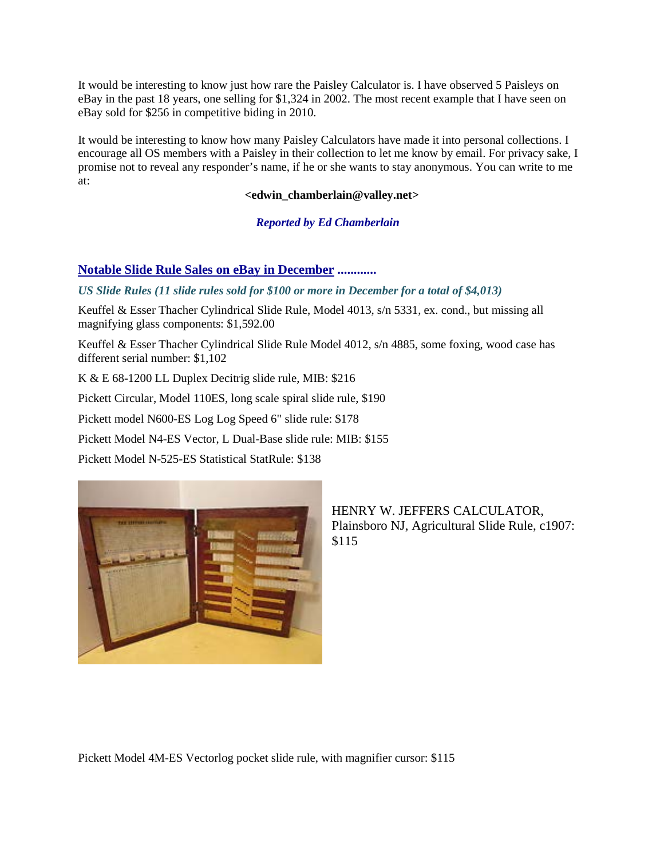It would be interesting to know just how rare the Paisley Calculator is. I have observed 5 Paisleys on eBay in the past 18 years, one selling for \$1,324 in 2002. The most recent example that I have seen on eBay sold for \$256 in competitive biding in 2010.

It would be interesting to know how many Paisley Calculators have made it into personal collections. I encourage all OS members with a Paisley in their collection to let me know by email. For privacy sake, I promise not to reveal any responder's name, if he or she wants to stay anonymous. You can write to me at:

#### **<edwin\_chamberlain@valley.net>**

*Reported by Ed Chamberlain*

# **Notable Slide Rule Sales on eBay in December ............**

## *US Slide Rules (11 slide rules sold for \$100 or more in December for a total of \$4,013)*

Keuffel & Esser Thacher Cylindrical Slide Rule, Model 4013, s/n 5331, ex. cond., but missing all magnifying glass components: \$1,592.00

Keuffel & Esser Thacher Cylindrical Slide Rule Model 4012, s/n 4885, some foxing, wood case has different serial number: \$1,102

K & E 68-1200 LL Duplex Decitrig slide rule, MIB: \$216

Pickett Circular, Model 110ES, long scale spiral slide rule, \$190

Pickett model N600-ES Log Log Speed 6" slide rule: \$178

Pickett Model N4-ES Vector, L Dual-Base slide rule: MIB: \$155

Pickett Model N-525-ES Statistical StatRule: \$138



HENRY W. JEFFERS CALCULATOR, Plainsboro NJ, Agricultural Slide Rule, c1907: \$115

Pickett Model 4M-ES Vectorlog pocket slide rule, with magnifier cursor: \$115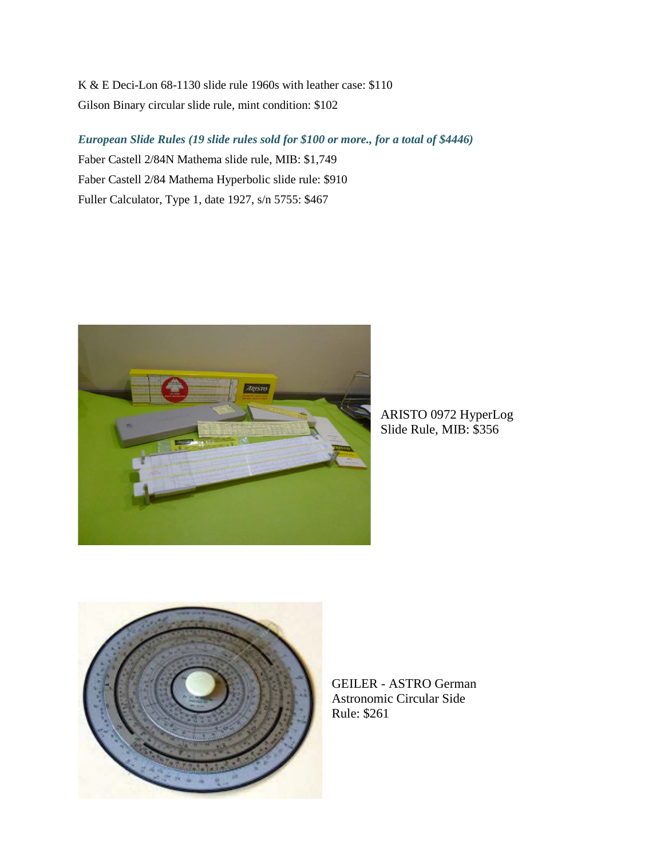K & E Deci-Lon 68-1130 slide rule 1960s with leather case: \$110 Gilson Binary circular slide rule, mint condition: \$102

*European Slide Rules (19 slide rules sold for \$100 or more., for a total of \$4446)*

Faber Castell 2/84N Mathema slide rule, MIB: \$1,749 Faber Castell 2/84 Mathema Hyperbolic slide rule: \$910 Fuller Calculator, Type 1, date 1927, s/n 5755: \$467



ARISTO 0972 HyperLog Slide Rule, MIB: \$356



GEILER - ASTRO German Astronomic Circular Side Rule: \$261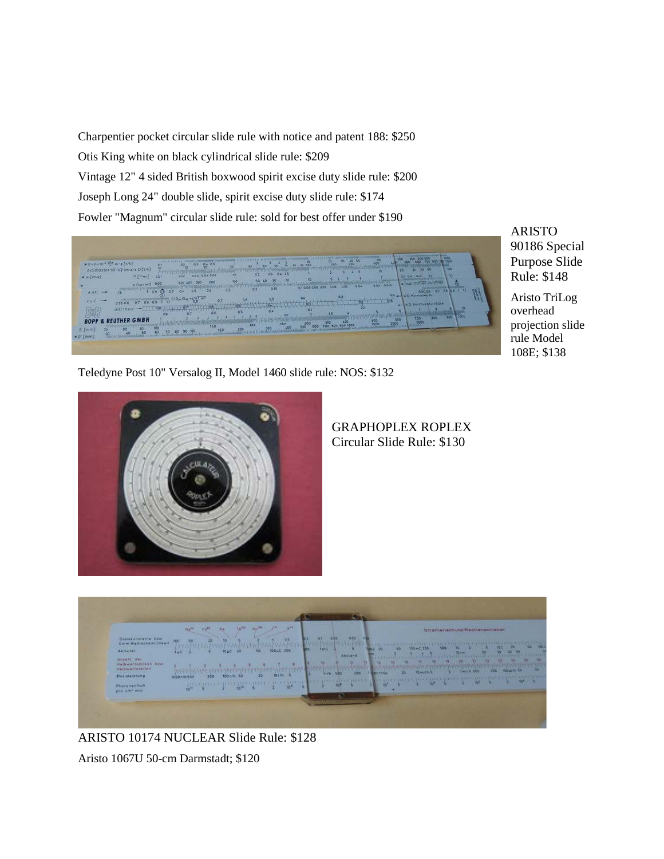Charpentier pocket circular slide rule with notice and patent 188: \$250 Otis King white on black cylindrical slide rule: \$209 Vintage 12" 4 sided British boxwood spirit excise duty slide rule: \$200 Joseph Long 24" double slide, spirit excise duty slide rule: \$174 Fowler "Magnum" circular slide rule: sold for best offer under \$190

 $\frac{1}{2}$ P & REUTHER GMBH  $^{30}_{-50}$  $60 -$ 70 80 90 100

ARISTO 90186 Special Purpose Slide Rule: \$148

Aristo TriLog overhead projection slide rule Model 108E; \$138

Teledyne Post 10" Versalog II, Model 1460 slide rule: NOS: \$132



GRAPHOPLEX ROPLEX Circular Slide Rule: \$130



ARISTO 10174 NUCLEAR Slide Rule: \$128

Aristo 1067U 50-cm Darmstadt; \$120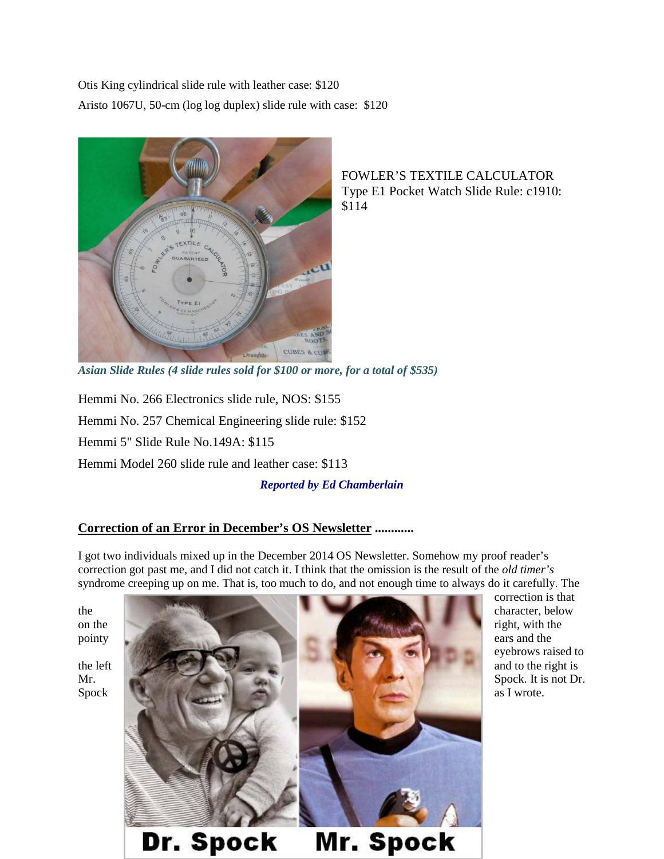Otis King cylindrical slide rule with leather case: \$120 Aristo 1067U, 50-cm (log log duplex) slide rule with case: \$120



FOWLER'S TEXTILE CALCULATOR Type E1 Pocket Watch Slide Rule: c1910: \$114

*Asian Slide Rules (4 slide rules sold for \$100 or more, for a total of \$535)*

Hemmi No. 266 Electronics slide rule, NOS: \$155 Hemmi No. 257 Chemical Engineering slide rule: \$152 Hemmi 5" Slide Rule No.149A: \$115

Hemmi Model 260 slide rule and leather case: \$113

*Reported by Ed Chamberlain*

# **Correction of an Error in December's OS Newsletter ............**

I got two individuals mixed up in the December 2014 OS Newsletter. Somehow my proof reader's correction got past me, and I did not catch it. I think that the omission is the result of the *old timer's* syndrome creeping up on me. That is, too much to do, and not enough time to always do it carefully. The



correction is that eyebrows raised to